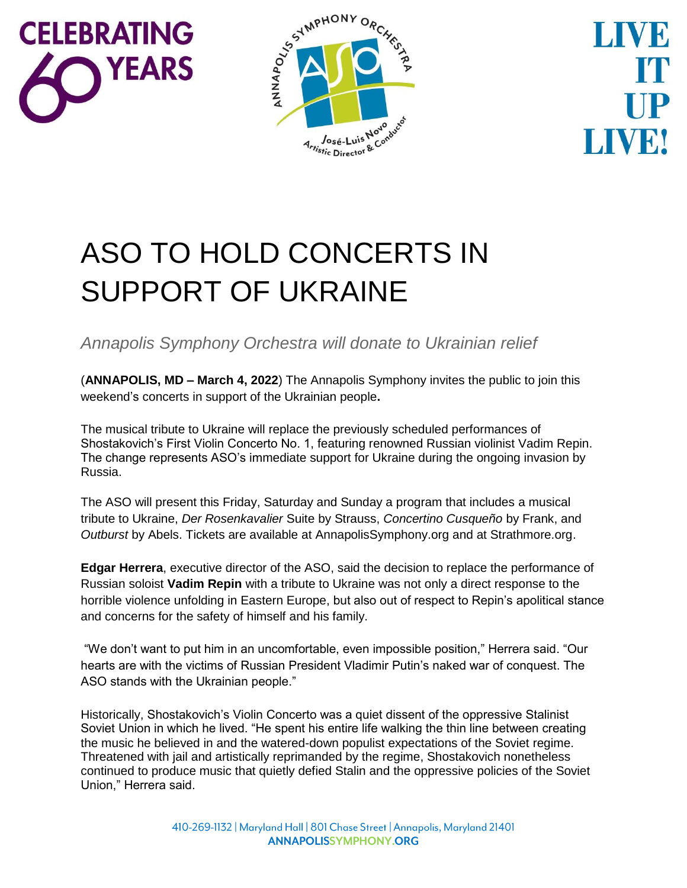



LIVEI

## ASO TO HOLD CONCERTS IN SUPPORT OF UKRAINE

*Annapolis Symphony Orchestra will donate to Ukrainian relief*

(**ANNAPOLIS, MD – March 4, 2022**) The Annapolis Symphony invites the public to join this weekend's concerts in support of the Ukrainian people**.**

The musical tribute to Ukraine will replace the previously scheduled performances of Shostakovich's First Violin Concerto No. 1, featuring renowned Russian violinist Vadim Repin. The change represents ASO's immediate support for Ukraine during the ongoing invasion by Russia.

The ASO will present this Friday, Saturday and Sunday a program that includes a musical tribute to Ukraine, *Der Rosenkavalier* Suite by Strauss, *Concertino Cusqueño* by Frank, and *Outburst* by Abels. Tickets are available at AnnapolisSymphony.org and at Strathmore.org.

**Edgar Herrera**, executive director of the ASO, said the decision to replace the performance of Russian soloist **Vadim Repin** with a tribute to Ukraine was not only a direct response to the horrible violence unfolding in Eastern Europe, but also out of respect to Repin's apolitical stance and concerns for the safety of himself and his family.

"We don't want to put him in an uncomfortable, even impossible position," Herrera said. "Our hearts are with the victims of Russian President Vladimir Putin's naked war of conquest. The ASO stands with the Ukrainian people."

Historically, Shostakovich's Violin Concerto was a quiet dissent of the oppressive Stalinist Soviet Union in which he lived. "He spent his entire life walking the thin line between creating the music he believed in and the watered-down populist expectations of the Soviet regime. Threatened with jail and artistically reprimanded by the regime, Shostakovich nonetheless continued to produce music that quietly defied Stalin and the oppressive policies of the Soviet Union," Herrera said.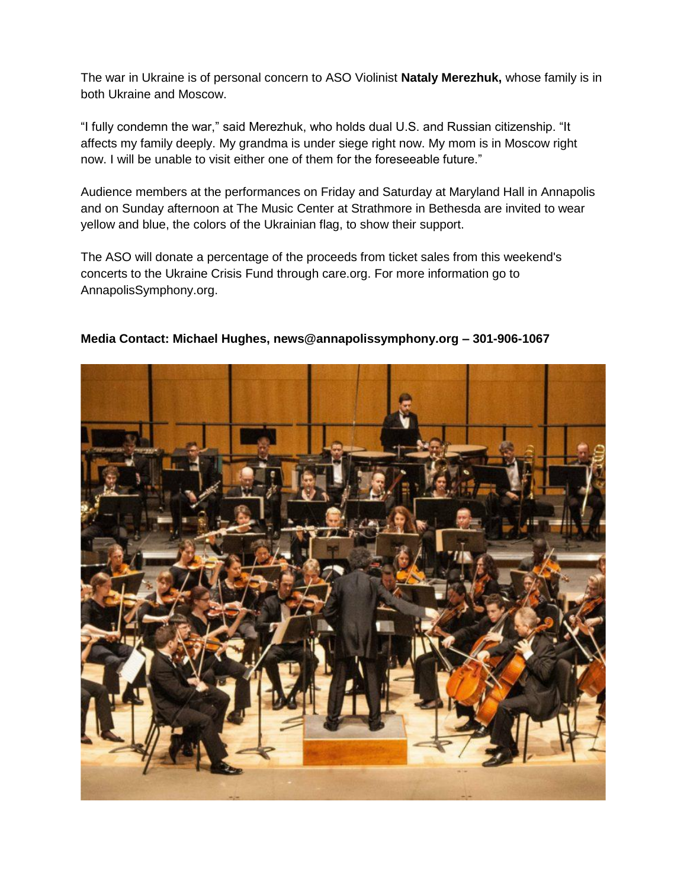The war in Ukraine is of personal concern to ASO Violinist **Nataly Merezhuk,** whose family is in both Ukraine and Moscow.

"I fully condemn the war," said Merezhuk, who holds dual U.S. and Russian citizenship. "It affects my family deeply. My grandma is under siege right now. My mom is in Moscow right now. I will be unable to visit either one of them for the foreseeable future."

Audience members at the performances on Friday and Saturday at Maryland Hall in Annapolis and on Sunday afternoon at The Music Center at Strathmore in Bethesda are invited to wear yellow and blue, the colors of the Ukrainian flag, to show their support.

The ASO will donate a percentage of the proceeds from ticket sales from this weekend's concerts to the Ukraine Crisis Fund through care.org. For more information go to AnnapolisSymphony.org.



**Media Contact: Michael Hughes, news@annapolissymphony.org – 301-906-1067**